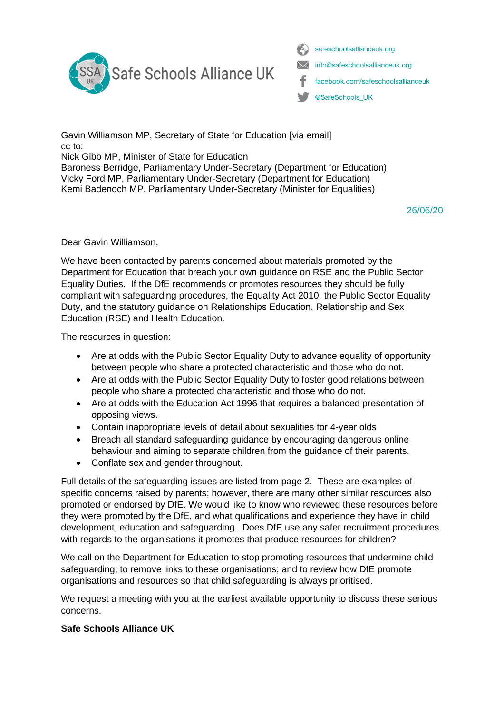

safeschoolsallianceuk.org info@safeschoolsallianceuk.org facebook.com/safeschoolsallianceuk @SafeSchools\_UK

Gavin Williamson MP, Secretary of State for Education [via email] cc to:

Nick Gibb MP, Minister of State for Education

Baroness Berridge, Parliamentary Under-Secretary (Department for Education) Vicky Ford MP, Parliamentary Under-Secretary (Department for Education) Kemi Badenoch MP, Parliamentary Under-Secretary [\(Minister for Equalities\)](mailto:Minister%20for%20Equalities)

26/06/20

Dear Gavin Williamson,

We have been contacted by parents concerned about materials promoted by the Department for Education that breach your own guidance on RSE and the Public Sector Equality Duties. If the DfE recommends or promotes resources they should be fully compliant with safeguarding procedures, the Equality Act 2010, the Public Sector Equality Duty, and the statutory guidance on Relationships Education, Relationship and Sex Education (RSE) and Health Education.

The resources in question:

- Are at odds with the Public Sector Equality Duty to advance equality of opportunity between people who share a protected characteristic and those who do not.
- Are at odds with the Public Sector Equality Duty to foster good relations between people who share a protected characteristic and those who do not.
- Are at odds with the Education Act 1996 that requires a balanced presentation of opposing views.
- Contain inappropriate levels of detail about sexualities for 4-year olds
- Breach all standard safeguarding guidance by encouraging dangerous online behaviour and aiming to separate children from the guidance of their parents.
- Conflate sex and gender throughout.

Full details of the safeguarding issues are listed from page 2. These are examples of specific concerns raised by parents; however, there are many other similar resources also promoted or endorsed by DfE. We would like to know who reviewed these resources before they were promoted by the DfE, and what qualifications and experience they have in child development, education and safeguarding. Does DfE use any safer recruitment procedures with regards to the organisations it promotes that produce resources for children?

We call on the Department for Education to stop promoting resources that undermine child safeguarding; to remove links to these organisations; and to review how DfE promote organisations and resources so that child safeguarding is always prioritised.

We request a meeting with you at the earliest available opportunity to discuss these serious concerns.

#### **Safe Schools Alliance UK**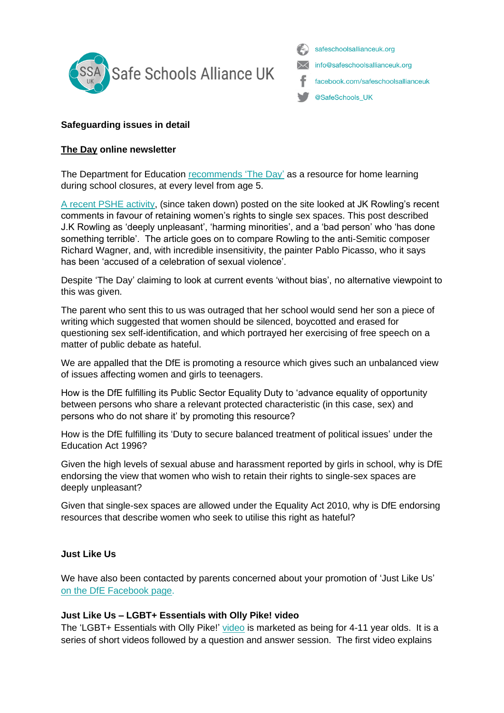

safeschoolsallianceuk.org info@safeschoolsallianceuk.org facebook.com/safeschoolsallianceuk @SafeSchools\_UK

# **Safeguarding issues in detail**

### **The [Day](https://theday.co.uk/) online newsletter**

The Department for Education [recommends 'The Day'](https://www.gov.uk/government/publications/coronavirus-covid-19-online-education-resources/english-resources) as a resource for home learning during school closures, at every level from age 5.

[A recent PSHE activity,](https://safeschoolsallianceuk.net/wp-content/uploads/2020/06/The-Day-_-Potterheads-cancel-Rowling-after-trans-tweet.pdf) (since taken down) posted on the site looked at JK Rowling's recent comments in favour of retaining women's rights to single sex spaces. This post described J.K Rowling as 'deeply unpleasant', 'harming minorities', and a 'bad person' who 'has done something terrible'. The article goes on to compare Rowling to the anti-Semitic composer Richard Wagner, and, with incredible insensitivity, the painter Pablo Picasso, who it says has been 'accused of a celebration of sexual violence'.

Despite 'The Day' claiming to look at current events 'without bias', no alternative viewpoint to this was given.

The parent who sent this to us was outraged that her school would send her son a piece of writing which suggested that women should be silenced, boycotted and erased for questioning sex self-identification, and which portrayed her exercising of free speech on a matter of public debate as hateful.

We are appalled that the DfE is promoting a resource which gives such an unbalanced view of issues affecting women and girls to teenagers.

How is the DfE fulfilling its Public Sector Equality Duty to 'advance equality of opportunity between persons who share a relevant protected characteristic (in this case, sex) and persons who do not share it' by promoting this resource?

How is the DfE fulfilling its 'Duty to secure balanced treatment of political issues' under the Education Act 1996?

Given the high levels of sexual abuse and harassment reported by girls in school, why is DfE endorsing the view that women who wish to retain their rights to single-sex spaces are deeply unpleasant?

Given that single-sex spaces are allowed under the Equality Act 2010, why is DfE endorsing resources that describe women who seek to utilise this right as hateful?

### **Just Like Us**

We have also been contacted by parents concerned about your promotion of 'Just Like Us' on the DfE [Facebook](file:///C:/Users/clair/OneDrive/Desktop/SSAUK/bit.ly/2ZdBsIm) page.

### **Just Like Us – LGBT+ Essentials with Olly Pike! video**

The 'LGBT+ Essentials with Olly Pike!' [video](https://www.facebook.com/watch/live/?v=869925123502534&ref=watch_permalink) is marketed as being for 4-11 year olds. It is a series of short videos followed by a question and answer session. The first video explains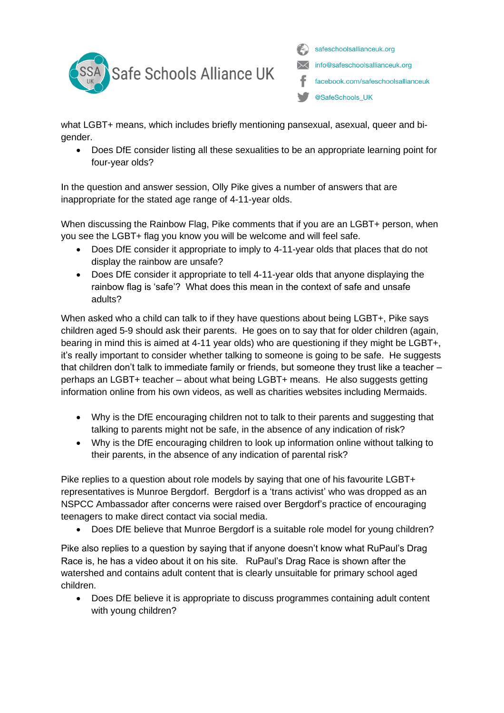

safeschoolsallianceuk.org info@safeschoolsallianceuk.org facebook.com/safeschoolsallianceuk @SafeSchools\_UK

what LGBT+ means, which includes briefly mentioning pansexual, asexual, queer and bigender.

• Does DfE consider listing all these sexualities to be an appropriate learning point for four-year olds?

In the question and answer session, Olly Pike gives a number of answers that are inappropriate for the stated age range of 4-11-year olds.

When discussing the Rainbow Flag, Pike comments that if you are an LGBT+ person, when you see the LGBT+ flag you know you will be welcome and will feel safe.

- Does DfE consider it appropriate to imply to 4-11-year olds that places that do not display the rainbow are unsafe?
- Does DfE consider it appropriate to tell 4-11-year olds that anyone displaying the rainbow flag is 'safe'? What does this mean in the context of safe and unsafe adults?

When asked who a child can talk to if they have questions about being LGBT+, Pike says children aged 5-9 should ask their parents. He goes on to say that for older children (again, bearing in mind this is aimed at 4-11 year olds) who are questioning if they might be LGBT+, it's really important to consider whether talking to someone is going to be safe. He suggests that children don't talk to immediate family or friends, but someone they trust like a teacher – perhaps an LGBT+ teacher – about what being LGBT+ means. He also suggests getting information online from his own videos, as well as charities websites including Mermaids.

- Why is the DfE encouraging children not to talk to their parents and suggesting that talking to parents might not be safe, in the absence of any indication of risk?
- Why is the DfE encouraging children to look up information online without talking to their parents, in the absence of any indication of parental risk?

Pike replies to a question about role models by saying that one of his favourite LGBT+ representatives is Munroe Bergdorf. Bergdorf is a 'trans activist' who was dropped as an NSPCC Ambassador after concerns were raised over Bergdorf's practice of encouraging teenagers to make direct contact via social media.

• Does DfE believe that Munroe Bergdorf is a suitable role model for young children?

Pike also replies to a question by saying that if anyone doesn't know what RuPaul's Drag Race is, he has a video about it on his site. RuPaul's Drag Race is shown after the watershed and contains adult content that is clearly unsuitable for primary school aged children.

• Does DfE believe it is appropriate to discuss programmes containing adult content with young children?